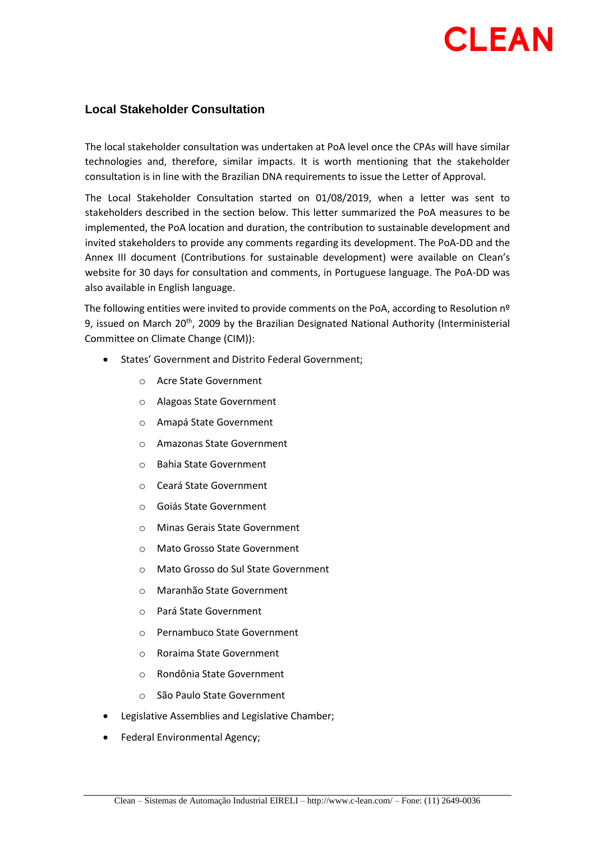## **CLEAN**

## **Local Stakeholder Consultation**

The local stakeholder consultation was undertaken at PoA level once the CPAs will have similar technologies and, therefore, similar impacts. It is worth mentioning that the stakeholder consultation is in line with the Brazilian DNA requirements to issue the Letter of Approval.

The Local Stakeholder Consultation started on 01/08/2019, when a letter was sent to stakeholders described in the section below. This letter summarized the PoA measures to be implemented, the PoA location and duration, the contribution to sustainable development and invited stakeholders to provide any comments regarding its development. The PoA-DD and the Annex III document (Contributions for sustainable development) were available on Clean's website for 30 days for consultation and comments, in Portuguese language. The PoA-DD was also available in English language.

The following entities were invited to provide comments on the PoA, according to Resolution nº 9, issued on March 20<sup>th</sup>, 2009 by the Brazilian Designated National Authority (Interministerial Committee on Climate Change (CIM)):

- States' Government and Distrito Federal Government;
	- o Acre State Government
	- o Alagoas State Government
	- o Amapá State Government
	- o Amazonas State Government
	- o Bahia State Government
	- o Ceará State Government
	- o Goiás State Government
	- o Minas Gerais State Government
	- o Mato Grosso State Government
	- o Mato Grosso do Sul State Government
	- o Maranhão State Government
	- o Pará State Government
	- o Pernambuco State Government
	- o Roraima State Government
	- o Rondônia State Government
	- o São Paulo State Government
- Legislative Assemblies and Legislative Chamber;
- Federal Environmental Agency;